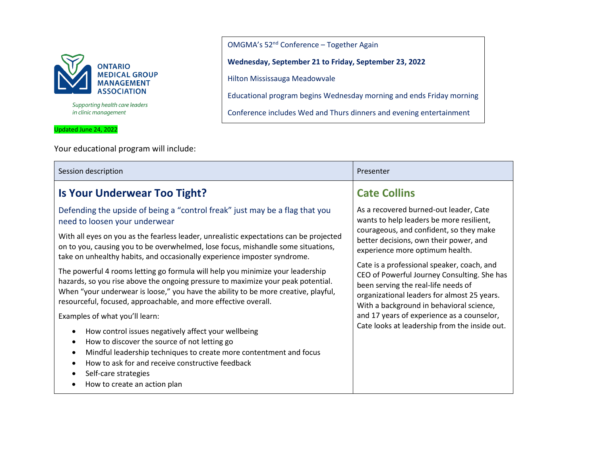

Supporting health care leaders in clinic management

Updated June 24, 2022

Your educational program will include:

Session description **Presenter** Presenter **Presenter Is Your Underwear Too Tight?** Defending the upside of being a "control freak" just may be a flag that you need to loosen your underwear With all eyes on you as the fearless leader, unrealistic expectations can be projected on to you, causing you to be overwhelmed, lose focus, mishandle some situations, take on unhealthy habits, and occasionally experience imposter syndrome. The powerful 4 rooms letting go formula will help you minimize your leadership hazards, so you rise above the ongoing pressure to maximize your peak potential. When "your underwear is loose," you have the ability to be more creative, playful, resourceful, focused, approachable, and more effective overall. Examples of what you'll learn: • How control issues negatively affect your wellbeing • How to discover the source of not letting go • Mindful leadership techniques to create more contentment and focus • How to ask for and receive constructive feedback • Self-care strategies • How to create an action plan **Cate Collins** As a recovered burned-out leader, Cate wants to help leaders be more resilient, courageous, and confident, so they make better decisions, own their power, and experience more optimum health. Cate is a professional speaker, coach, and CEO of Powerful Journey Consulting. She has been serving the real-life needs of organizational leaders for almost 25 years. With a background in behavioral science, and 17 years of experience as a counselor, Cate looks at leadership from the inside out.

OMGMA's 52nd Conference – Together Again

**Wednesday, September 21 to Friday, September 23, 2022**

Hilton Mississauga Meadowvale

Educational program begins Wednesday morning and ends Friday morning

Conference includes Wed and Thurs dinners and evening entertainment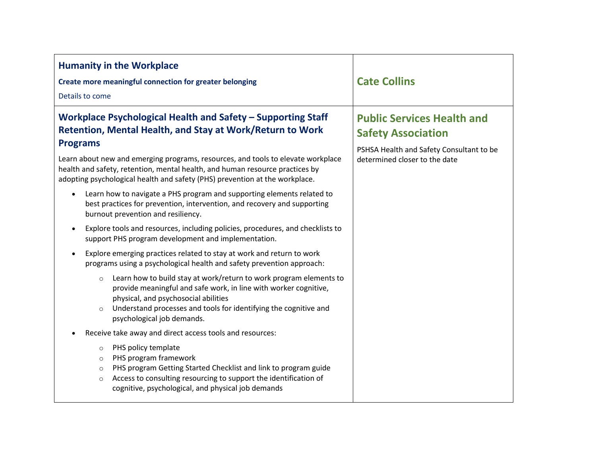| <b>Humanity in the Workplace</b><br>Create more meaningful connection for greater belonging<br>Details to come                                                                                                                                                                                                                                                                                  | <b>Cate Collins</b>                                                                                                                         |
|-------------------------------------------------------------------------------------------------------------------------------------------------------------------------------------------------------------------------------------------------------------------------------------------------------------------------------------------------------------------------------------------------|---------------------------------------------------------------------------------------------------------------------------------------------|
| Workplace Psychological Health and Safety - Supporting Staff<br>Retention, Mental Health, and Stay at Work/Return to Work<br><b>Programs</b><br>Learn about new and emerging programs, resources, and tools to elevate workplace<br>health and safety, retention, mental health, and human resource practices by<br>adopting psychological health and safety (PHS) prevention at the workplace. | <b>Public Services Health and</b><br><b>Safety Association</b><br>PSHSA Health and Safety Consultant to be<br>determined closer to the date |
| Learn how to navigate a PHS program and supporting elements related to<br>best practices for prevention, intervention, and recovery and supporting<br>burnout prevention and resiliency.<br>Explore tools and resources, including policies, procedures, and checklists to<br>$\bullet$                                                                                                         |                                                                                                                                             |
| support PHS program development and implementation.<br>Explore emerging practices related to stay at work and return to work<br>programs using a psychological health and safety prevention approach:                                                                                                                                                                                           |                                                                                                                                             |
| Learn how to build stay at work/return to work program elements to<br>$\circ$<br>provide meaningful and safe work, in line with worker cognitive,<br>physical, and psychosocial abilities<br>Understand processes and tools for identifying the cognitive and<br>$\circ$<br>psychological job demands.                                                                                          |                                                                                                                                             |
| Receive take away and direct access tools and resources:                                                                                                                                                                                                                                                                                                                                        |                                                                                                                                             |
| PHS policy template<br>$\circ$<br>PHS program framework<br>$\circ$<br>PHS program Getting Started Checklist and link to program guide<br>$\circ$<br>Access to consulting resourcing to support the identification of<br>$\circ$<br>cognitive, psychological, and physical job demands                                                                                                           |                                                                                                                                             |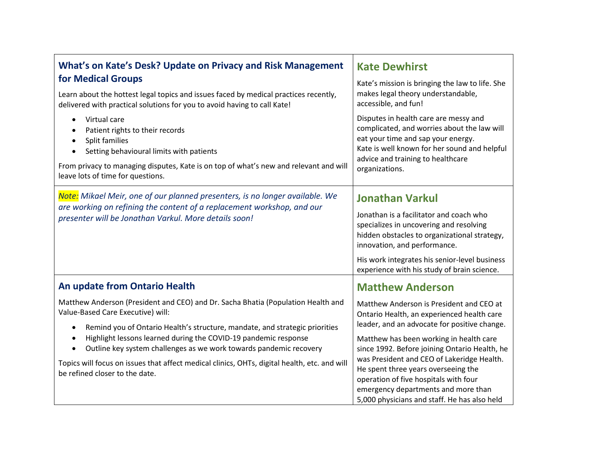| What's on Kate's Desk? Update on Privacy and Risk Management                                                                                                                                                                                                                                                                                                                                                                                                                                                           | <b>Kate Dewhirst</b>                                                                                                                                                                                                                                                                         |
|------------------------------------------------------------------------------------------------------------------------------------------------------------------------------------------------------------------------------------------------------------------------------------------------------------------------------------------------------------------------------------------------------------------------------------------------------------------------------------------------------------------------|----------------------------------------------------------------------------------------------------------------------------------------------------------------------------------------------------------------------------------------------------------------------------------------------|
| for Medical Groups<br>Learn about the hottest legal topics and issues faced by medical practices recently,<br>delivered with practical solutions for you to avoid having to call Kate!                                                                                                                                                                                                                                                                                                                                 | Kate's mission is bringing the law to life. She<br>makes legal theory understandable,<br>accessible, and fun!                                                                                                                                                                                |
| Virtual care<br>$\bullet$<br>Patient rights to their records<br>$\bullet$<br>Split families<br>$\bullet$<br>Setting behavioural limits with patients<br>$\bullet$<br>From privacy to managing disputes, Kate is on top of what's new and relevant and will<br>leave lots of time for questions.                                                                                                                                                                                                                        | Disputes in health care are messy and<br>complicated, and worries about the law will<br>eat your time and sap your energy.<br>Kate is well known for her sound and helpful<br>advice and training to healthcare<br>organizations.                                                            |
| Note: Mikael Meir, one of our planned presenters, is no longer available. We<br>are working on refining the content of a replacement workshop, and our<br>presenter will be Jonathan Varkul. More details soon!                                                                                                                                                                                                                                                                                                        | <b>Jonathan Varkul</b><br>Jonathan is a facilitator and coach who<br>specializes in uncovering and resolving<br>hidden obstacles to organizational strategy,<br>innovation, and performance.<br>His work integrates his senior-level business<br>experience with his study of brain science. |
| An update from Ontario Health                                                                                                                                                                                                                                                                                                                                                                                                                                                                                          | <b>Matthew Anderson</b>                                                                                                                                                                                                                                                                      |
| Matthew Anderson (President and CEO) and Dr. Sacha Bhatia (Population Health and<br>Value-Based Care Executive) will:<br>Remind you of Ontario Health's structure, mandate, and strategic priorities<br>$\bullet$<br>Highlight lessons learned during the COVID-19 pandemic response<br>$\bullet$<br>Outline key system challenges as we work towards pandemic recovery<br>$\bullet$<br>Topics will focus on issues that affect medical clinics, OHTs, digital health, etc. and will<br>be refined closer to the date. | Matthew Anderson is President and CEO at<br>Ontario Health, an experienced health care<br>leader, and an advocate for positive change.                                                                                                                                                       |
|                                                                                                                                                                                                                                                                                                                                                                                                                                                                                                                        | Matthew has been working in health care<br>since 1992. Before joining Ontario Health, he                                                                                                                                                                                                     |
|                                                                                                                                                                                                                                                                                                                                                                                                                                                                                                                        | was President and CEO of Lakeridge Health.<br>He spent three years overseeing the<br>operation of five hospitals with four<br>emergency departments and more than<br>5,000 physicians and staff. He has also held                                                                            |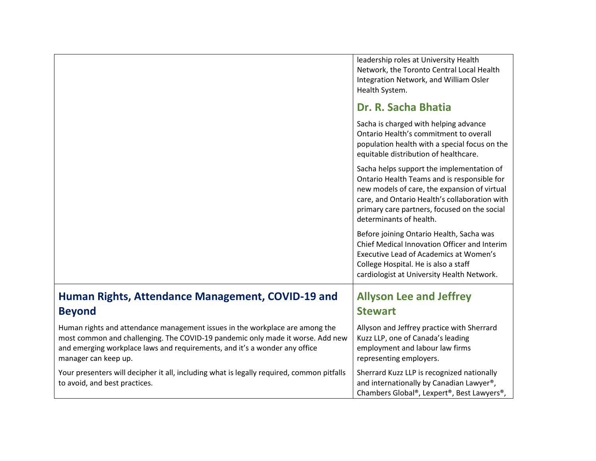|                                                                                                                                                                                                                                                                      | leadership roles at University Health<br>Network, the Toronto Central Local Health<br>Integration Network, and William Osler<br>Health System.                                                                                                                       |
|----------------------------------------------------------------------------------------------------------------------------------------------------------------------------------------------------------------------------------------------------------------------|----------------------------------------------------------------------------------------------------------------------------------------------------------------------------------------------------------------------------------------------------------------------|
|                                                                                                                                                                                                                                                                      | Dr. R. Sacha Bhatia                                                                                                                                                                                                                                                  |
|                                                                                                                                                                                                                                                                      | Sacha is charged with helping advance<br>Ontario Health's commitment to overall<br>population health with a special focus on the<br>equitable distribution of healthcare.                                                                                            |
|                                                                                                                                                                                                                                                                      | Sacha helps support the implementation of<br>Ontario Health Teams and is responsible for<br>new models of care, the expansion of virtual<br>care, and Ontario Health's collaboration with<br>primary care partners, focused on the social<br>determinants of health. |
|                                                                                                                                                                                                                                                                      | Before joining Ontario Health, Sacha was<br>Chief Medical Innovation Officer and Interim<br>Executive Lead of Academics at Women's<br>College Hospital. He is also a staff<br>cardiologist at University Health Network.                                             |
| Human Rights, Attendance Management, COVID-19 and                                                                                                                                                                                                                    | <b>Allyson Lee and Jeffrey</b>                                                                                                                                                                                                                                       |
| <b>Beyond</b>                                                                                                                                                                                                                                                        | <b>Stewart</b>                                                                                                                                                                                                                                                       |
| Human rights and attendance management issues in the workplace are among the<br>most common and challenging. The COVID-19 pandemic only made it worse. Add new<br>and emerging workplace laws and requirements, and it's a wonder any office<br>manager can keep up. | Allyson and Jeffrey practice with Sherrard<br>Kuzz LLP, one of Canada's leading<br>employment and labour law firms<br>representing employers.                                                                                                                        |
| Your presenters will decipher it all, including what is legally required, common pitfalls<br>to avoid, and best practices.                                                                                                                                           | Sherrard Kuzz LLP is recognized nationally<br>and internationally by Canadian Lawyer <sup>®</sup> ,<br>Chambers Global®, Lexpert®, Best Lawyers®,                                                                                                                    |